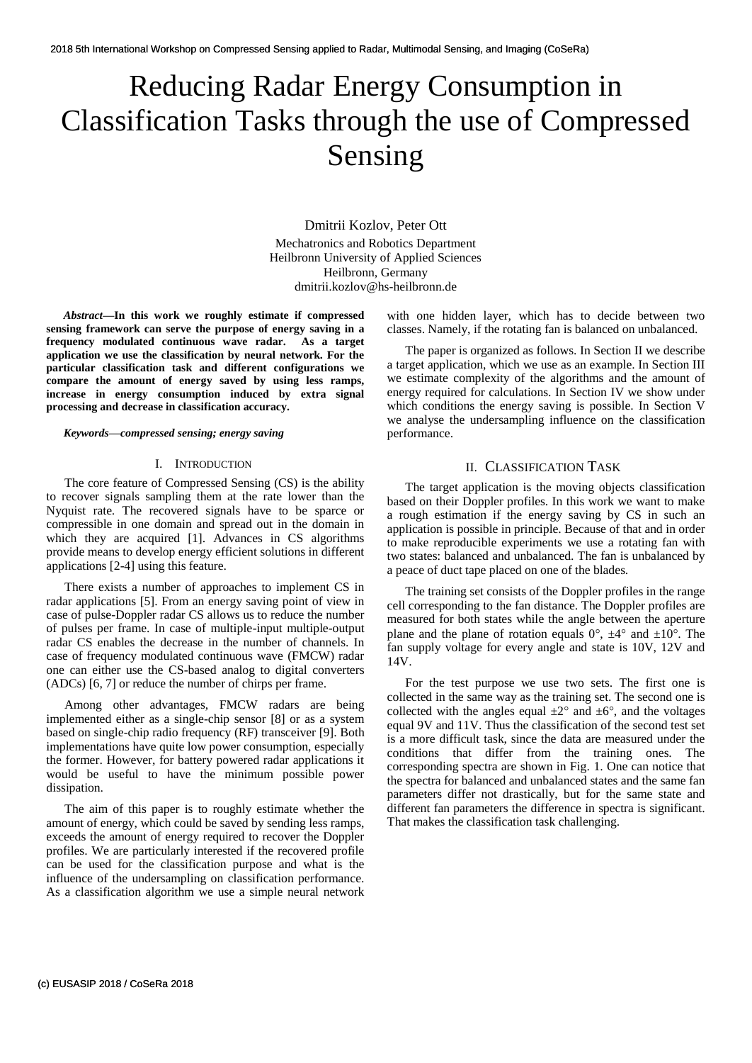# Reducing Radar Energy Consumption in Classification Tasks through the use of Compressed Sensing

Dmitrii Kozlov, Peter Ott Mechatronics and Robotics Department Heilbronn University of Applied Sciences Heilbronn, Germany dmitrii.kozlov@hs-heilbronn.de

*Abstract***—In this work we roughly estimate if compressed sensing framework can serve the purpose of energy saving in a frequency modulated continuous wave radar. As a target application we use the classification by neural network. For the particular classification task and different configurations we compare the amount of energy saved by using less ramps, increase in energy consumption induced by extra signal processing and decrease in classification accuracy.**

#### *Keywords—compressed sensing; energy saving*

## I. INTRODUCTION

The core feature of Compressed Sensing (CS) is the ability to recover signals sampling them at the rate lower than the Nyquist rate. The recovered signals have to be sparce or compressible in one domain and spread out in the domain in which they are acquired [1]. Advances in CS algorithms provide means to develop energy efficient solutions in different applications [2-4] using this feature.

There exists a number of approaches to implement CS in radar applications [5]. From an energy saving point of view in case of pulse-Doppler radar CS allows us to reduce the number of pulses per frame. In case of multiple-input multiple-output radar CS enables the decrease in the number of channels. In case of frequency modulated continuous wave (FMCW) radar one can either use the CS-based analog to digital converters (ADCs) [6, 7] or reduce the number of chirps per frame.

Among other advantages, FMCW radars are being implemented either as a single-chip sensor [8] or as a system based on single-chip radio frequency (RF) transceiver [9]. Both implementations have quite low power consumption, especially the former. However, for battery powered radar applications it would be useful to have the minimum possible power dissipation.

The aim of this paper is to roughly estimate whether the amount of energy, which could be saved by sending less ramps, exceeds the amount of energy required to recover the Doppler profiles. We are particularly interested if the recovered profile can be used for the classification purpose and what is the influence of the undersampling on classification performance. As a classification algorithm we use a simple neural network with one hidden layer, which has to decide between two classes. Namely, if the rotating fan is balanced on unbalanced.

The paper is organized as follows. In Section II we describe a target application, which we use as an example. In Section III we estimate complexity of the algorithms and the amount of energy required for calculations. In Section IV we show under which conditions the energy saving is possible. In Section V we analyse the undersampling influence on the classification performance.

## II. CLASSIFICATION TASK

The target application is the moving objects classification based on their Doppler profiles. In this work we want to make a rough estimation if the energy saving by CS in such an application is possible in principle. Because of that and in order to make reproducible experiments we use a rotating fan with two states: balanced and unbalanced. The fan is unbalanced by a peace of duct tape placed on one of the blades.

The training set consists of the Doppler profiles in the range cell corresponding to the fan distance. The Doppler profiles are measured for both states while the angle between the aperture plane and the plane of rotation equals  $0^{\circ}$ ,  $\pm 4^{\circ}$  and  $\pm 10^{\circ}$ . The fan supply voltage for every angle and state is 10V, 12V and 14V.

For the test purpose we use two sets. The first one is collected in the same way as the training set. The second one is collected with the angles equal  $\pm 2^{\circ}$  and  $\pm 6^{\circ}$ , and the voltages equal 9V and 11V. Thus the classification of the second test set is a more difficult task, since the data are measured under the conditions that differ from the training ones. The corresponding spectra are shown in Fig. 1. One can notice that the spectra for balanced and unbalanced states and the same fan parameters differ not drastically, but for the same state and different fan parameters the difference in spectra is significant. That makes the classification task challenging.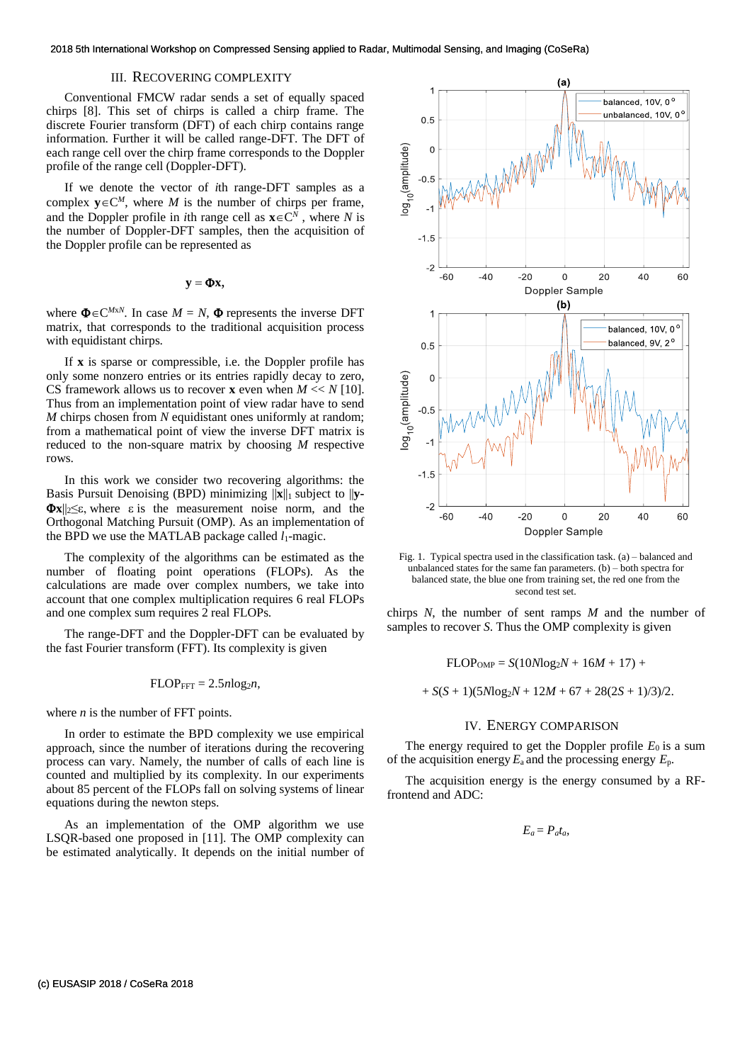# III. RECOVERING COMPLEXITY

Conventional FMCW radar sends a set of equally spaced chirps [8]. This set of chirps is called a chirp frame. The discrete Fourier transform (DFT) of each chirp contains range information. Further it will be called range-DFT. The DFT of each range cell over the chirp frame corresponds to the Doppler profile of the range cell (Doppler-DFT).

If we denote the vector of *i*th range-DFT samples as a complex  $y \in C^M$ , where *M* is the number of chirps per frame, and the Doppler profile in *i*th range cell as  $\mathbf{x} \in \mathbb{C}^N$ , where *N* is the number of Doppler-DFT samples, then the acquisition of the Doppler profile can be represented as

$$
\mathbf{y} = \mathbf{\Phi} \mathbf{x},
$$

where  $\Phi \in C^{MxN}$ . In case  $M = N$ ,  $\Phi$  represents the inverse DFT matrix, that corresponds to the traditional acquisition process with equidistant chirps.

If **x** is sparse or compressible, i.e. the Doppler profile has only some nonzero entries or its entries rapidly decay to zero, CS framework allows us to recover **x** even when *M* << *N* [10]. Thus from an implementation point of view radar have to send *M* chirps chosen from *N* equidistant ones uniformly at random; from a mathematical point of view the inverse DFT matrix is reduced to the non-square matrix by choosing *M* respective rows.

In this work we consider two recovering algorithms: the Basis Pursuit Denoising (BPD) minimizing ||**x**||<sup>1</sup> subject to ||**y-**  $\Phi$ **x**|| $\leq$  \efter  $\epsilon$  is the measurement noise norm, and the Orthogonal Matching Pursuit (OMP). As an implementation of the BPD we use the MATLAB package called  $l_1$ -magic.

The complexity of the algorithms can be estimated as the number of floating point operations (FLOPs). As the calculations are made over complex numbers, we take into account that one complex multiplication requires 6 real FLOPs and one complex sum requires 2 real FLOPs.

The range-DFT and the Doppler-DFT can be evaluated by the fast Fourier transform (FFT). Its complexity is given

$$
FLOP_{FFT} = 2.5nlog_2 n,
$$

where *n* is the number of FFT points.

In order to estimate the BPD complexity we use empirical approach, since the number of iterations during the recovering process can vary. Namely, the number of calls of each line is counted and multiplied by its complexity. In our experiments about 85 percent of the FLOPs fall on solving systems of linear equations during the newton steps.

As an implementation of the OMP algorithm we use LSQR-based one proposed in [11]. The OMP complexity can be estimated analytically. It depends on the initial number of



Fig. 1. Typical spectra used in the classification task. (a) – balanced and unbalanced states for the same fan parameters. (b) – both spectra for balanced state, the blue one from training set, the red one from the second test set.

chirps *N*, the number of sent ramps *M* and the number of samples to recover *S*. Thus the OMP complexity is given

 $FLOP<sub>OMP</sub> = S(10Nlog<sub>2</sub>N + 16M + 17) +$ 

 $+ S(S + 1)(5Nlog<sub>2</sub>N + 12M + 67 + 28(2S + 1)/3)/2.$ 

## IV. ENERGY COMPARISON

The energy required to get the Doppler profile  $E_0$  is a sum of the acquisition energy  $E_a$  and the processing energy  $E_p$ .

The acquisition energy is the energy consumed by a RFfrontend and ADC:

$$
E_a = P_a t_a,
$$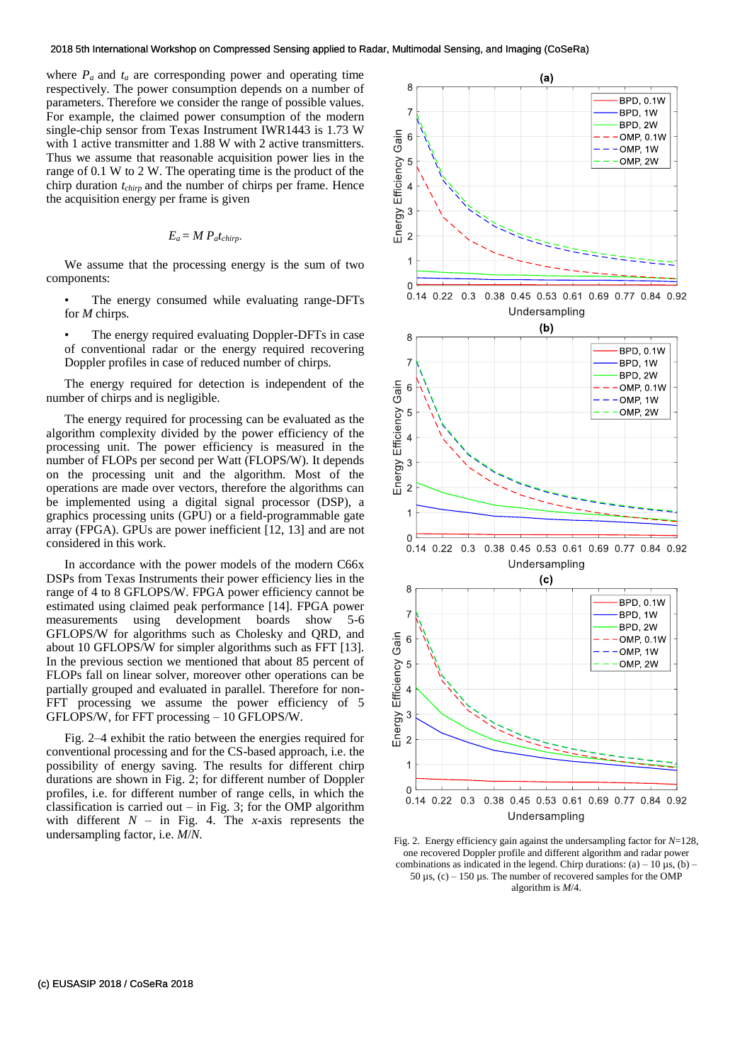where  $P_a$  and  $t_a$  are corresponding power and operating time respectively. The power consumption depends on a number of parameters. Therefore we consider the range of possible values. For example, the claimed power consumption of the modern single-chip sensor from Texas Instrument IWR1443 is 1.73 W with 1 active transmitter and 1.88 W with 2 active transmitters. Thus we assume that reasonable acquisition power lies in the range of 0.1 W to 2 W. The operating time is the product of the chirp duration *tchirp* and the number of chirps per frame. Hence the acquisition energy per frame is given

$$
E_a = M\ P_a t_{chirp}.
$$

We assume that the processing energy is the sum of two components:

- The energy consumed while evaluating range-DFTs for *M* chirps.
- The energy required evaluating Doppler-DFTs in case of conventional radar or the energy required recovering Doppler profiles in case of reduced number of chirps.

The energy required for detection is independent of the number of chirps and is negligible.

The energy required for processing can be evaluated as the algorithm complexity divided by the power efficiency of the processing unit. The power efficiency is measured in the number of FLOPs per second per Watt (FLOPS/W). It depends on the processing unit and the algorithm. Most of the operations are made over vectors, therefore the algorithms can be implemented using a digital signal processor (DSP), a graphics processing units (GPU) or a field-programmable gate array (FPGA). GPUs are power inefficient [12, 13] and are not considered in this work.

In accordance with the power models of the modern C66x DSPs from Texas Instruments their power efficiency lies in the range of 4 to 8 GFLOPS/W. FPGA power efficiency cannot be estimated using claimed peak performance [14]. FPGA power measurements using development boards show 5-6 GFLOPS/W for algorithms such as Cholesky and QRD, and about 10 GFLOPS/W for simpler algorithms such as FFT [13]. In the previous section we mentioned that about 85 percent of FLOPs fall on linear solver, moreover other operations can be partially grouped and evaluated in parallel. Therefore for non-FFT processing we assume the power efficiency of 5 GFLOPS/W, for FFT processing – 10 GFLOPS/W.

Fig. 2–4 exhibit the ratio between the energies required for conventional processing and for the CS-based approach, i.e. the possibility of energy saving. The results for different chirp durations are shown in Fig. 2; for different number of Doppler profiles, i.e. for different number of range cells, in which the classification is carried out – in Fig. 3; for the OMP algorithm with different  $N -$  in Fig. 4. The *x*-axis represents the undersampling factor, i.e. *M*/*N*.



Fig. 2. Energy efficiency gain against the undersampling factor for *N*=128, one recovered Doppler profile and different algorithm and radar power combinations as indicated in the legend. Chirp durations:  $(a) - 10 \mu s$ ,  $(b) -$ 50  $\mu$ s, (c) – 150  $\mu$ s. The number of recovered samples for the OMP algorithm is *M*/4.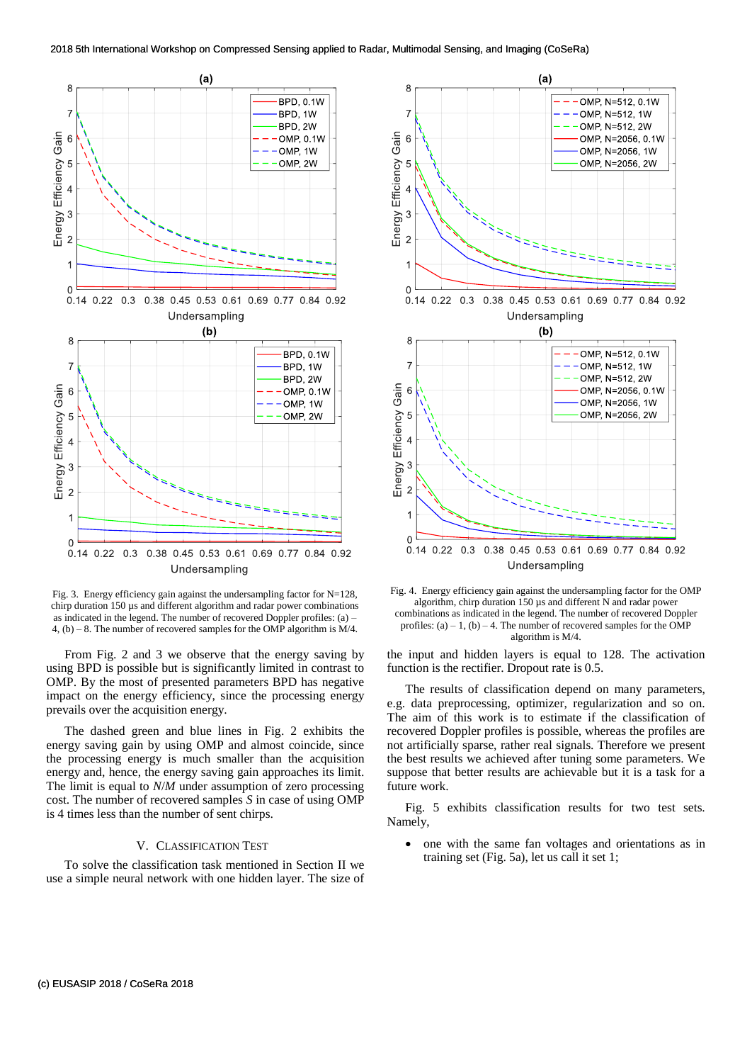

Fig. 3. Energy efficiency gain against the undersampling factor for N=128, chirp duration 150 µs and different algorithm and radar power combinations as indicated in the legend. The number of recovered Doppler profiles: (a) – 4, (b) – 8. The number of recovered samples for the OMP algorithm is  $M/4$ .

From Fig. 2 and 3 we observe that the energy saving by using BPD is possible but is significantly limited in contrast to OMP. By the most of presented parameters BPD has negative impact on the energy efficiency, since the processing energy prevails over the acquisition energy.

The dashed green and blue lines in Fig. 2 exhibits the energy saving gain by using OMP and almost coincide, since the processing energy is much smaller than the acquisition energy and, hence, the energy saving gain approaches its limit. The limit is equal to *N*/*M* under assumption of zero processing cost. The number of recovered samples *S* in case of using OMP is 4 times less than the number of sent chirps.

#### V. CLASSIFICATION TEST

To solve the classification task mentioned in Section II we use a simple neural network with one hidden layer. The size of



Fig. 4. Energy efficiency gain against the undersampling factor for the OMP algorithm, chirp duration 150 µs and different N and radar power combinations as indicated in the legend. The number of recovered Doppler profiles:  $(a) - 1$ ,  $(b) - 4$ . The number of recovered samples for the OMP algorithm is M/4.

the input and hidden layers is equal to 128. The activation function is the rectifier. Dropout rate is 0.5.

The results of classification depend on many parameters, e.g. data preprocessing, optimizer, regularization and so on. The aim of this work is to estimate if the classification of recovered Doppler profiles is possible, whereas the profiles are not artificially sparse, rather real signals. Therefore we present the best results we achieved after tuning some parameters. We suppose that better results are achievable but it is a task for a future work.

Fig. 5 exhibits classification results for two test sets. Namely,

• one with the same fan voltages and orientations as in training set (Fig. 5a), let us call it set 1;